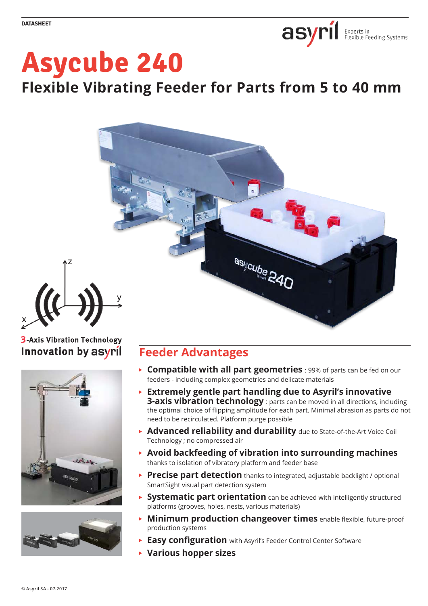

# **Asycube 240**

**Flexible Vibrating Feeder for Parts from 5 to 40 mm**



## **3-Axis Vibration Technology** Innovation by asyril

z

x





# **Feeder Advantages**

- **Compatible with all part geometries** : 99% of parts can be fed on our feeders - including complex geometries and delicate materials
- **Extremely gentle part handling due to Asyril's innovative 3-axis vibration technology** : parts can be moved in all directions, including the optimal choice of flipping amplitude for each part. Minimal abrasion as parts do not need to be recirculated. Platform purge possible
- **Advanced reliability and durability** due to State-of-the-Art Voice Coil Technology ; no compressed air
- **Avoid backfeeding of vibration into surrounding machines** thanks to isolation of vibratory platform and feeder base
- **► Precise part detection** thanks to integrated, adjustable backlight / optional SmartSight visual part detection system
- **Systematic part orientation** can be achieved with intelligently structured platforms (grooves, holes, nests, various materials)
- **Minimum production changeover times** enable flexible, future-proof production systems
- **Easy configuration** with Asyril's Feeder Control Center Software
- **Various hopper sizes**